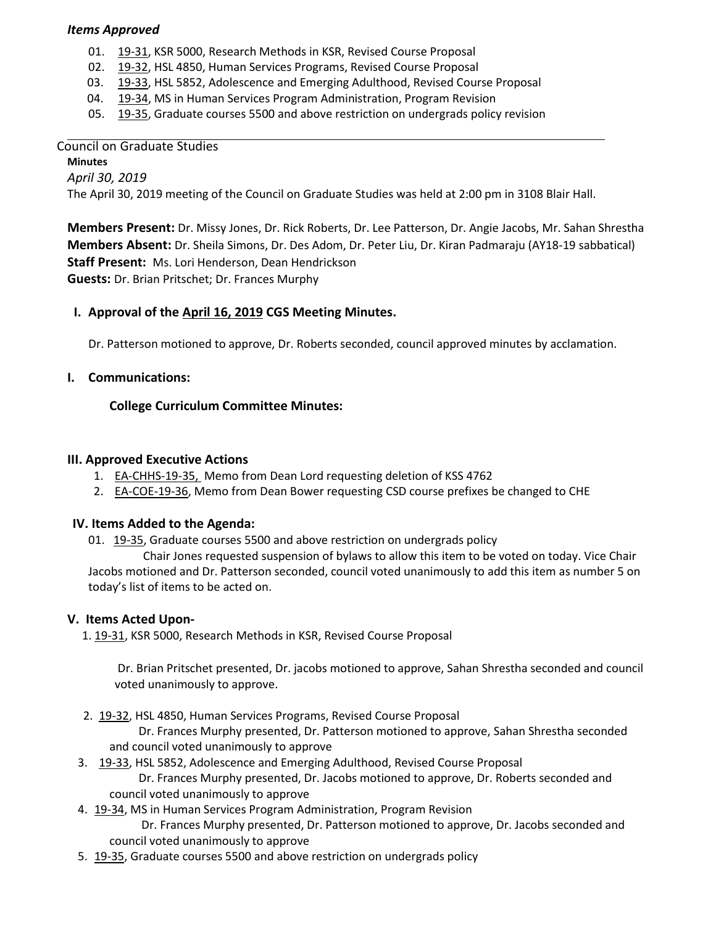### *Items Approved*

- 01. [19-31,](http://castle.eiu.edu/eiucgs/currentagendaitems/agenda19-31.pdf) KSR 5000, Research Methods in KSR, Revised Course Proposal
- 02. [19-32,](http://castle.eiu.edu/eiucgs/currentagendaitems/agenda19-32.pdf) HSL 4850, Human Services Programs, Revised Course Proposal
- 03. [19-33,](http://castle.eiu.edu/eiucgs/currentagendaitems/agenda19-33.pdf) HSL 5852, Adolescence and Emerging Adulthood, Revised Course Proposal
- 04. [19-34,](http://castle.eiu.edu/eiucgs/currentagendaitems/agenda19-34.pdf) MS in Human Services Program Administration, Program Revision
- 05. [19-35,](http://castle.eiu.edu/eiucgs/currentagendaitems/agenda19-35.pdf) Graduate courses 5500 and above restriction on undergrads policy revision

### Council on Graduate Studies

**Minutes** *April 30, 2019* The April 30, 2019 meeting of the Council on Graduate Studies was held at 2:00 pm in 3108 Blair Hall.

**Members Present:** Dr. Missy Jones, Dr. Rick Roberts, Dr. Lee Patterson, Dr. Angie Jacobs, Mr. Sahan Shrestha **Members Absent:** Dr. Sheila Simons, Dr. Des Adom, Dr. Peter Liu, Dr. Kiran Padmaraju (AY18-19 sabbatical) **Staff Present:** Ms. Lori Henderson, Dean Hendrickson

**Guests:** Dr. Brian Pritschet; Dr. Frances Murphy

## **I. Approval of the [April 16,](http://castle.eiu.edu/eiucgs/currentminutes/Minutes4-16-19.pdf) 2019 CGS Meeting Minutes.**

Dr. Patterson motioned to approve, Dr. Roberts seconded, council approved minutes by acclamation.

### **I. Communications:**

### **College Curriculum Committee Minutes:**

### **III. Approved Executive Actions**

- 1. [EA-CHHS-19-35,](http://castle.eiu.edu/eiucgs/exec-actions/EA-CHHS-19-35.pdf) Memo from Dean Lord requesting deletion of KSS 4762
- 2. **[EA-COE-19-36, M](http://castle.eiu.edu/eiucgs/exec-actions/EA-COE-19-36.pdf)emo from Dean Bower requesting CSD course prefixes be changed to CHE**

#### **IV. Items Added to the Agenda:**

01. [19-35,](http://castle.eiu.edu/eiucgs/currentagendaitems/agenda19-35.pdf) Graduate courses 5500 and above restriction on undergrads policy

Chair Jones requested suspension of bylaws to allow this item to be voted on today. Vice Chair Jacobs motioned and Dr. Patterson seconded, council voted unanimously to add this item as number 5 on today's list of items to be acted on.

#### **V. Items Acted Upon-**

1[. 19-31, K](http://castle.eiu.edu/eiucgs/currentagendaitems/agenda19-31.pdf)SR 5000, Research Methods in KSR, Revised Course Proposal

Dr. Brian Pritschet presented, Dr. jacobs motioned to approve, Sahan Shrestha seconded and council voted unanimously to approve.

2. [19-32,](http://castle.eiu.edu/eiucgs/currentagendaitems/agenda19-32.pdf) HSL 4850, Human Services Programs, Revised Course Proposal

 Dr. Frances Murphy presented, Dr. Patterson motioned to approve, Sahan Shrestha seconded and council voted unanimously to approve

- 3. [19-33,](http://castle.eiu.edu/eiucgs/currentagendaitems/agenda19-33.pdf) HSL 5852, Adolescence and Emerging Adulthood, Revised Course Proposal Dr. Frances Murphy presented, Dr. Jacobs motioned to approve, Dr. Roberts seconded and council voted unanimously to approve
- 4. [19-34,](http://castle.eiu.edu/eiucgs/currentagendaitems/agenda19-34.pdf) MS in Human Services Program Administration, Program Revision Dr. Frances Murphy presented, Dr. Patterson motioned to approve, Dr. Jacobs seconded and council voted unanimously to approve
- 5. [19-35,](http://castle.eiu.edu/eiucgs/currentagendaitems/agenda19-35.pdf) Graduate courses 5500 and above restriction on undergrads policy